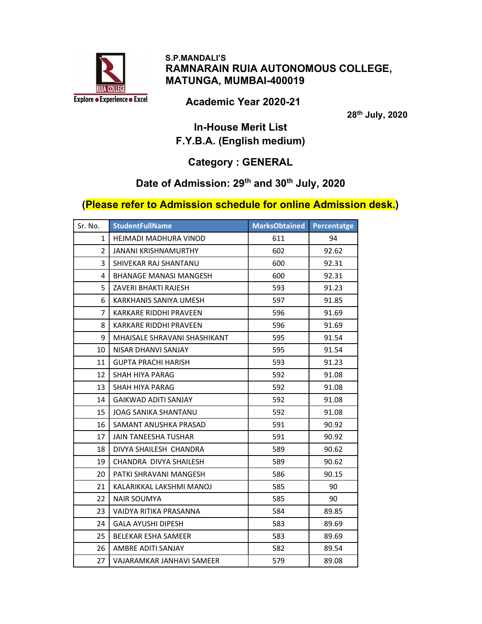

 S.P.MANDALI'S RAMNARAIN RUIA AUTONOMOUS COLLEGE, MATUNGA, MUMBAI-400019

Academic Year 2020-21

th July, 2020

### In-House Merit List F.Y.B.A. (English medium)

## Category : GENERAL

#### Date of Admission: 29<sup>th</sup> and 30<sup>th</sup> July, 2020

#### (Please refer to Admission schedule for online Admission desk.)

| Sr. No.        | <b>StudentFullName</b>        | <b>MarksObtained</b> | Percentatge |
|----------------|-------------------------------|----------------------|-------------|
| $\mathbf{1}$   | HEJMADI MADHURA VINOD         | 611                  | 94          |
| $\overline{2}$ | JANANI KRISHNAMURTHY          | 602                  | 92.62       |
| 3              | SHIVEKAR RAJ SHANTANU         | 600                  | 92.31       |
| 4              | <b>BHANAGE MANASI MANGESH</b> | 600                  | 92.31       |
| 5              | ZAVERI BHAKTI RAJESH          | 593                  | 91.23       |
| 6              | KARKHANIS SANIYA UMESH        | 597                  | 91.85       |
| 7              | KARKARE RIDDHI PRAVEEN        | 596                  | 91.69       |
| 8              | KARKARE RIDDHI PRAVEEN        | 596                  | 91.69       |
| 9              | MHAISALE SHRAVANI SHASHIKANT  | 595                  | 91.54       |
| 10             | NISAR DHANVI SANJAY           | 595                  | 91.54       |
| 11             | <b>GUPTA PRACHI HARISH</b>    | 593                  | 91.23       |
| 12             | SHAH HIYA PARAG               | 592                  | 91.08       |
| 13             | SHAH HIYA PARAG               | 592                  | 91.08       |
| 14             | <b>GAIKWAD ADITI SANJAY</b>   | 592                  | 91.08       |
| 15             | <b>JOAG SANIKA SHANTANU</b>   | 592                  | 91.08       |
| 16             | SAMANT ANUSHKA PRASAD         | 591                  | 90.92       |
| 17             | <b>JAIN TANEESHA TUSHAR</b>   | 591                  | 90.92       |
| 18             | DIVYA SHAILESH CHANDRA        | 589                  | 90.62       |
| 19             | CHANDRA DIVYA SHAILESH        | 589                  | 90.62       |
| 20             | PATKI SHRAVANI MANGESH        | 586                  | 90.15       |
| 21             | KALARIKKAL LAKSHMI MANOJ      | 585                  | 90          |
| 22             | NAIR SOUMYA                   | 585                  | 90          |
| 23             | VAIDYA RITIKA PRASANNA        | 584                  | 89.85       |
| 24             | <b>GALA AYUSHI DIPESH</b>     | 583                  | 89.69       |
| 25             | <b>BELEKAR ESHA SAMEER</b>    | 583                  | 89.69       |
| 26             | AMBRE ADITI SANJAY            | 582                  | 89.54       |
| 27             | VAJARAMKAR JANHAVI SAMEER     | 579                  | 89.08       |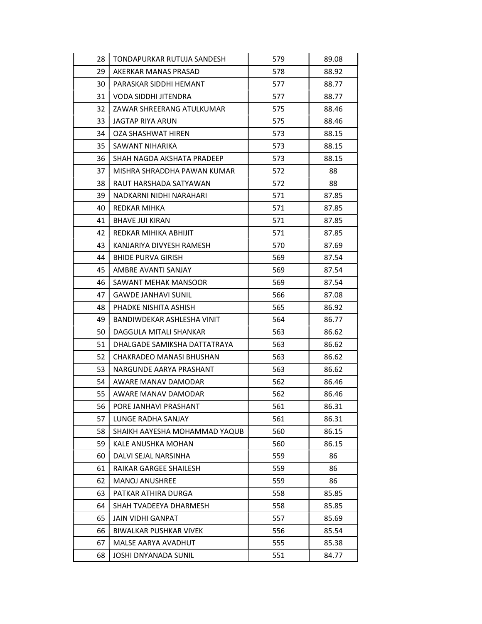| 28 | TONDAPURKAR RUTUJA SANDESH    | 579 | 89.08 |
|----|-------------------------------|-----|-------|
| 29 | AKERKAR MANAS PRASAD          | 578 | 88.92 |
| 30 | PARASKAR SIDDHI HEMANT        | 577 | 88.77 |
| 31 | VODA SIDDHI JITENDRA          | 577 | 88.77 |
| 32 | ZAWAR SHREERANG ATULKUMAR     | 575 | 88.46 |
| 33 | JAGTAP RIYA ARUN              | 575 | 88.46 |
| 34 | OZA SHASHWAT HIREN            | 573 | 88.15 |
| 35 | SAWANT NIHARIKA               | 573 | 88.15 |
| 36 | SHAH NAGDA AKSHATA PRADEEP    | 573 | 88.15 |
| 37 | MISHRA SHRADDHA PAWAN KUMAR   | 572 | 88    |
| 38 | RAUT HARSHADA SATYAWAN        | 572 | 88    |
| 39 | NADKARNI NIDHI NARAHARI       | 571 | 87.85 |
| 40 | <b>REDKAR MIHKA</b>           | 571 | 87.85 |
| 41 | <b>BHAVE JUI KIRAN</b>        | 571 | 87.85 |
| 42 | REDKAR MIHIKA ABHIJIT         | 571 | 87.85 |
| 43 | KANJARIYA DIVYESH RAMESH      | 570 | 87.69 |
| 44 | <b>BHIDE PURVA GIRISH</b>     | 569 | 87.54 |
| 45 | AMBRE AVANTI SANJAY           | 569 | 87.54 |
| 46 | SAWANT MEHAK MANSOOR          | 569 | 87.54 |
| 47 | <b>GAWDE JANHAVI SUNIL</b>    | 566 | 87.08 |
| 48 | PHADKE NISHITA ASHISH         | 565 | 86.92 |
| 49 | BANDIWDEKAR ASHLESHA VINIT    | 564 | 86.77 |
| 50 | DAGGULA MITALI SHANKAR        | 563 | 86.62 |
| 51 | DHALGADE SAMIKSHA DATTATRAYA  | 563 | 86.62 |
| 52 | CHAKRADEO MANASI BHUSHAN      | 563 | 86.62 |
| 53 | NARGUNDE AARYA PRASHANT       | 563 | 86.62 |
| 54 | AWARE MANAV DAMODAR           | 562 | 86.46 |
| 55 | AWARE MANAV DAMODAR           | 562 | 86.46 |
| 56 | PORE JANHAVI PRASHANT         | 561 | 86.31 |
| 57 | LUNGE RADHA SANJAY            | 561 | 86.31 |
| 58 | SHAIKH AAYESHA MOHAMMAD YAQUB | 560 | 86.15 |
| 59 | KALE ANUSHKA MOHAN            | 560 | 86.15 |
| 60 | DALVI SEJAL NARSINHA          | 559 | 86    |
| 61 | RAIKAR GARGEE SHAILESH        | 559 | 86    |
| 62 | <b>MANOJ ANUSHREE</b>         | 559 | 86    |
| 63 | PATKAR ATHIRA DURGA           | 558 | 85.85 |
| 64 | SHAH TVADEEYA DHARMESH        | 558 | 85.85 |
| 65 | JAIN VIDHI GANPAT             | 557 | 85.69 |
| 66 | <b>BIWALKAR PUSHKAR VIVEK</b> | 556 | 85.54 |
| 67 | MALSE AARYA AVADHUT           | 555 | 85.38 |
| 68 | JOSHI DNYANADA SUNIL          | 551 | 84.77 |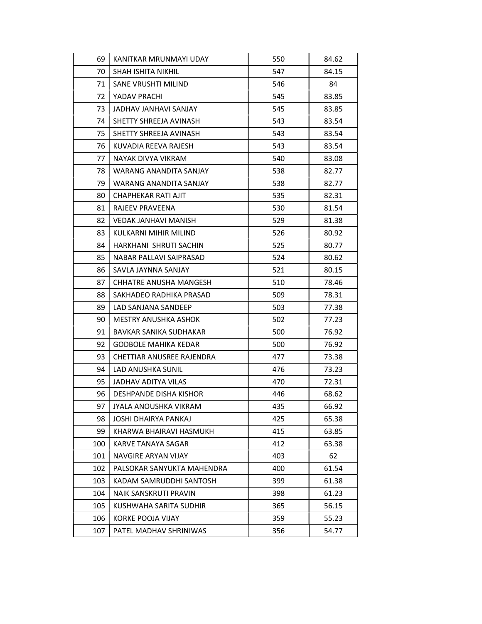| 69  | KANITKAR MRUNMAYI UDAY      | 550 | 84.62 |
|-----|-----------------------------|-----|-------|
| 70  | SHAH ISHITA NIKHIL          | 547 | 84.15 |
| 71  | SANE VRUSHTI MILIND         | 546 | 84    |
| 72  | YADAV PRACHI                | 545 | 83.85 |
| 73  | JADHAV JANHAVI SANJAY       | 545 | 83.85 |
| 74  | SHETTY SHREEJA AVINASH      | 543 | 83.54 |
| 75  | SHETTY SHREEJA AVINASH      | 543 | 83.54 |
| 76  | KUVADIA REEVA RAJESH        | 543 | 83.54 |
| 77  | NAYAK DIVYA VIKRAM          | 540 | 83.08 |
| 78  | WARANG ANANDITA SANJAY      | 538 | 82.77 |
| 79  | WARANG ANANDITA SANJAY      | 538 | 82.77 |
| 80  | CHAPHEKAR RATI AJIT         | 535 | 82.31 |
| 81  | RAJEEV PRAVEENA             | 530 | 81.54 |
| 82  | VEDAK JANHAVI MANISH        | 529 | 81.38 |
| 83  | KULKARNI MIHIR MILIND       | 526 | 80.92 |
| 84  | HARKHANI SHRUTI SACHIN      | 525 | 80.77 |
| 85  | NABAR PALLAVI SAIPRASAD     | 524 | 80.62 |
| 86  | SAVLA JAYNNA SANJAY         | 521 | 80.15 |
| 87  | CHHATRE ANUSHA MANGESH      | 510 | 78.46 |
| 88  | SAKHADEO RADHIKA PRASAD     | 509 | 78.31 |
| 89  | LAD SANJANA SANDEEP         | 503 | 77.38 |
| 90  | MESTRY ANUSHKA ASHOK        | 502 | 77.23 |
| 91  | BAVKAR SANIKA SUDHAKAR      | 500 | 76.92 |
| 92  | <b>GODBOLE MAHIKA KEDAR</b> | 500 | 76.92 |
| 93  | CHETTIAR ANUSREE RAJENDRA   | 477 | 73.38 |
| 94  | LAD ANUSHKA SUNIL           | 476 | 73.23 |
| 95  | JADHAV ADITYA VILAS         | 470 | 72.31 |
| 96  | DESHPANDE DISHA KISHOR      | 446 | 68.62 |
| 97  | JYALA ANOUSHKA VIKRAM       | 435 | 66.92 |
| 98  | JOSHI DHAIRYA PANKAJ        | 425 | 65.38 |
| 99  | KHARWA BHAIRAVI HASMUKH     | 415 | 63.85 |
| 100 | KARVE TANAYA SAGAR          | 412 | 63.38 |
| 101 | NAVGIRE ARYAN VIJAY         | 403 | 62    |
| 102 | PALSOKAR SANYUKTA MAHENDRA  | 400 | 61.54 |
| 103 | KADAM SAMRUDDHI SANTOSH     | 399 | 61.38 |
| 104 | NAIK SANSKRUTI PRAVIN       | 398 | 61.23 |
| 105 | KUSHWAHA SARITA SUDHIR      | 365 | 56.15 |
| 106 | KORKE POOJA VIJAY           | 359 | 55.23 |
| 107 | PATEL MADHAV SHRINIWAS      | 356 | 54.77 |